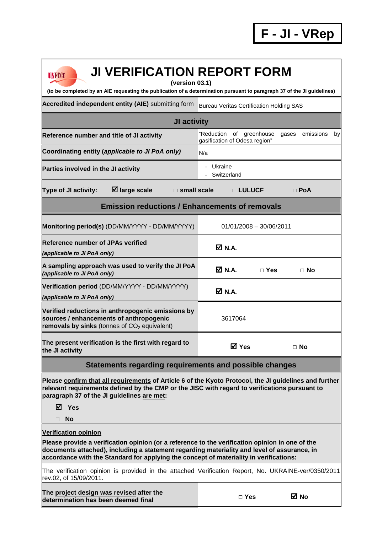| <b>JI VERIFICATION REPORT FORM</b><br><b>UNFCCC</b><br>(version 03.1)<br>(to be completed by an AIE requesting the publication of a determination pursuant to paragraph 37 of the JI guidelines)                                                                                                                        |                                                              |                          |
|-------------------------------------------------------------------------------------------------------------------------------------------------------------------------------------------------------------------------------------------------------------------------------------------------------------------------|--------------------------------------------------------------|--------------------------|
| Accredited independent entity (AIE) submitting form                                                                                                                                                                                                                                                                     | <b>Bureau Veritas Certification Holding SAS</b>              |                          |
| JI activity                                                                                                                                                                                                                                                                                                             |                                                              |                          |
| Reference number and title of JI activity                                                                                                                                                                                                                                                                               | of greenhouse<br>"Reduction<br>gasification of Odesa region" | emissions<br>by<br>qases |
| Coordinating entity (applicable to JI PoA only)                                                                                                                                                                                                                                                                         | N/a                                                          |                          |
| Parties involved in the JI activity                                                                                                                                                                                                                                                                                     | - Ukraine<br>Switzerland                                     |                          |
| $\boxtimes$ large scale<br>Type of JI activity:<br>$\Box$ small scale                                                                                                                                                                                                                                                   | □ LULUCF                                                     | $\Box$ PoA               |
| <b>Emission reductions / Enhancements of removals</b>                                                                                                                                                                                                                                                                   |                                                              |                          |
| Monitoring period(s) (DD/MM/YYYY - DD/MM/YYYY)                                                                                                                                                                                                                                                                          | $01/01/2008 - 30/06/2011$                                    |                          |
| <b>Reference number of JPAs verified</b><br>(applicable to JI PoA only)                                                                                                                                                                                                                                                 | M N.A.                                                       |                          |
| A sampling approach was used to verify the JI PoA<br>(applicable to JI PoA only)                                                                                                                                                                                                                                        | M N.A.<br>$\Box$ Yes                                         | $\Box$ No                |
| Verification period (DD/MM/YYYY - DD/MM/YYYY)<br>(applicable to JI PoA only)                                                                                                                                                                                                                                            | M N.A.                                                       |                          |
| Verified reductions in anthropogenic emissions by<br>sources / enhancements of anthropogenic<br>removals by sinks (tonnes of $CO2$ equivalent)                                                                                                                                                                          | 3617064                                                      |                          |
| The present verification is the first with regard to<br>the JI activity                                                                                                                                                                                                                                                 | <b>⊠</b> Yes                                                 | $\Box$ No                |
| Statements regarding requirements and possible changes                                                                                                                                                                                                                                                                  |                                                              |                          |
| Please confirm that all requirements of Article 6 of the Kyoto Protocol, the JI guidelines and further<br>relevant requirements defined by the CMP or the JISC with regard to verifications pursuant to<br>paragraph 37 of the JI guidelines are met:<br><b>Ø</b> Yes                                                   |                                                              |                          |
| No                                                                                                                                                                                                                                                                                                                      |                                                              |                          |
| <b>Verification opinion</b><br>Please provide a verification opinion (or a reference to the verification opinion in one of the<br>documents attached), including a statement regarding materiality and level of assurance, in<br>accordance with the Standard for applying the concept of materiality in verifications: |                                                              |                          |
| The verification opinion is provided in the attached Verification Report, No. UKRAINE-ver/0350/2011<br>rev.02, of 15/09/2011.                                                                                                                                                                                           |                                                              |                          |
| The project design was revised after the<br>determination has been deemed final                                                                                                                                                                                                                                         | $\square$ Yes                                                | <b>⊠</b> No              |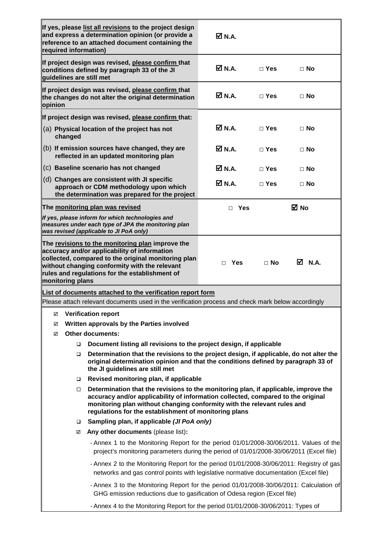|                                                         | required information) | and express a determination opinion (or provide a<br>reference to an attached document containing the                                                                                                                                                                                                       | $\overline{M}$ N.A. |               |           |
|---------------------------------------------------------|-----------------------|-------------------------------------------------------------------------------------------------------------------------------------------------------------------------------------------------------------------------------------------------------------------------------------------------------------|---------------------|---------------|-----------|
|                                                         |                       | If project design was revised, please confirm that<br>conditions defined by paragraph 33 of the JI<br>quidelines are still met                                                                                                                                                                              | M N.A.              | $\square$ Yes | $\Box$ No |
| opinion                                                 |                       | If project design was revised, please confirm that<br>the changes do not alter the original determination                                                                                                                                                                                                   | M N.A.              | $\sqcap$ Yes  | ⊟ No      |
|                                                         |                       | If project design was revised, please confirm that:                                                                                                                                                                                                                                                         |                     |               |           |
| (a) Physical location of the project has not<br>changed |                       |                                                                                                                                                                                                                                                                                                             | M N.A.              | $\sqcap$ Yes  | ⊟ No      |
|                                                         |                       | (b) If emission sources have changed, they are<br>reflected in an updated monitoring plan                                                                                                                                                                                                                   | M N.A.              | $\sqcap$ Yes  | $\Box$ No |
|                                                         |                       | (c) Baseline scenario has not changed                                                                                                                                                                                                                                                                       | $\boxtimes$ N.A.    | $\Box$ Yes    | $\Box$ No |
|                                                         |                       | (d) Changes are consistent with JI specific<br>approach or CDM methodology upon which<br>the determination was prepared for the project                                                                                                                                                                     | <b>☑ N.A.</b>       | $\Box$ Yes    | $\Box$ No |
|                                                         |                       | The monitoring plan was revised                                                                                                                                                                                                                                                                             | $\Box$ Yes          |               | ⊠ No      |
|                                                         |                       | If yes, please inform for which technologies and<br>measures under each type of JPA the monitoring plan<br>was revised (applicable to JI PoA only)                                                                                                                                                          |                     |               |           |
|                                                         |                       | accuracy and/or applicability of information<br>collected, compared to the original monitoring plan<br>without changing conformity with the relevant                                                                                                                                                        | $\Box$ Yes          | $\Box$ No     | M N.A.    |
|                                                         | monitoring plans      | rules and regulations for the establishment of                                                                                                                                                                                                                                                              |                     |               |           |
|                                                         |                       | List of documents attached to the verification report form                                                                                                                                                                                                                                                  |                     |               |           |
|                                                         |                       | Please attach relevant documents used in the verification process and check mark below accordingly                                                                                                                                                                                                          |                     |               |           |
| ☑                                                       |                       | <b>Verification report</b>                                                                                                                                                                                                                                                                                  |                     |               |           |
| ☑<br>☑                                                  |                       | Written approvals by the Parties involved<br><b>Other documents:</b>                                                                                                                                                                                                                                        |                     |               |           |
|                                                         | □                     | Document listing all revisions to the project design, if applicable                                                                                                                                                                                                                                         |                     |               |           |
|                                                         | $\Box$                | Determination that the revisions to the project design, if applicable, do not alter the<br>original determination opinion and that the conditions defined by paragraph 33 of<br>the JI guidelines are still met                                                                                             |                     |               |           |
|                                                         | □                     | Revised monitoring plan, if applicable                                                                                                                                                                                                                                                                      |                     |               |           |
|                                                         | $\Box$                | Determination that the revisions to the monitoring plan, if applicable, improve the<br>accuracy and/or applicability of information collected, compared to the original<br>monitoring plan without changing conformity with the relevant rules and<br>regulations for the establishment of monitoring plans |                     |               |           |
|                                                         | □                     | Sampling plan, if applicable (JI PoA only)                                                                                                                                                                                                                                                                  |                     |               |           |
|                                                         | ☑                     | Any other documents (please list):                                                                                                                                                                                                                                                                          |                     |               |           |
|                                                         |                       | - Annex 1 to the Monitoring Report for the period 01/01/2008-30/06/2011. Values of the<br>project's monitoring parameters during the period of 01/01/2008-30/06/2011 (Excel file)                                                                                                                           |                     |               |           |
|                                                         |                       | - Annex 2 to the Monitoring Report for the period 01/01/2008-30/06/2011: Registry of gas<br>networks and gas control points with legislative normative documentation (Excel file)                                                                                                                           |                     |               |           |
|                                                         |                       | - Annex 3 to the Monitoring Report for the period 01/01/2008-30/06/2011: Calculation of<br>GHG emission reductions due to gasification of Odesa region (Excel file)                                                                                                                                         |                     |               |           |